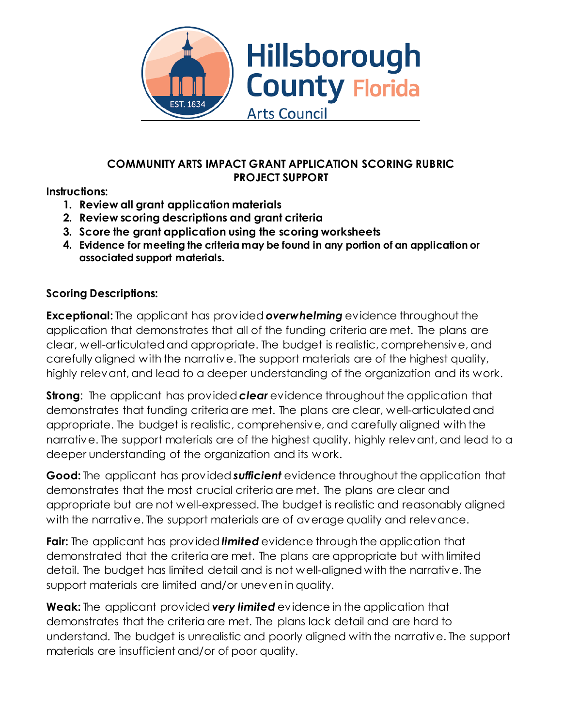

#### **COMMUNITY ARTS IMPACT GRANT APPLICATION SCORING RUBRIC PROJECT SUPPORT**

## **Instructions:**

- **1. Review all grant application materials**
- **2. Review scoring descriptions and grant criteria**
- **3. Score the grant application using the scoring worksheets**
- **4. Evidence for meeting the criteria may be found in any portion of an application or associated support materials.**

# **Scoring Descriptions:**

**Exceptional:** The applicant has provided **overwhelming** evidence throughout the application that demonstrates that all of the funding criteria are met. The plans are clear, well-articulated and appropriate. The budget is realistic, comprehensive, and carefully aligned with the narrative. The support materials are of the highest quality, highly relevant, and lead to a deeper understanding of the organization and its work.

**Strong**: The applicant has provided *clear* evidence throughout the application that demonstrates that funding criteria are met. The plans are clear, well-articulated and appropriate. The budget is realistic, comprehensive, and carefully aligned with the narrative. The support materials are of the highest quality, highly relevant, and lead to a deeper understanding of the organization and its work.

**Good:** The applicant has provided *sufficient* evidence throughout the application that demonstrates that the most crucial criteria are met. The plans are clear and appropriate but are not well-expressed. The budget is realistic and reasonably aligned with the narrative. The support materials are of average quality and relevance.

**Fair:** The applicant has provided *limited* evidence through the application that demonstrated that the criteria are met. The plans are appropriate but with limited detail. The budget has limited detail and is not well-aligned with the narrative. The support materials are limited and/or uneven in quality.

**Weak:** The applicant provided *very limited* evidence in the application that demonstrates that the criteria are met. The plans lack detail and are hard to understand. The budget is unrealistic and poorly aligned with the narrative. The support materials are insufficient and/or of poor quality.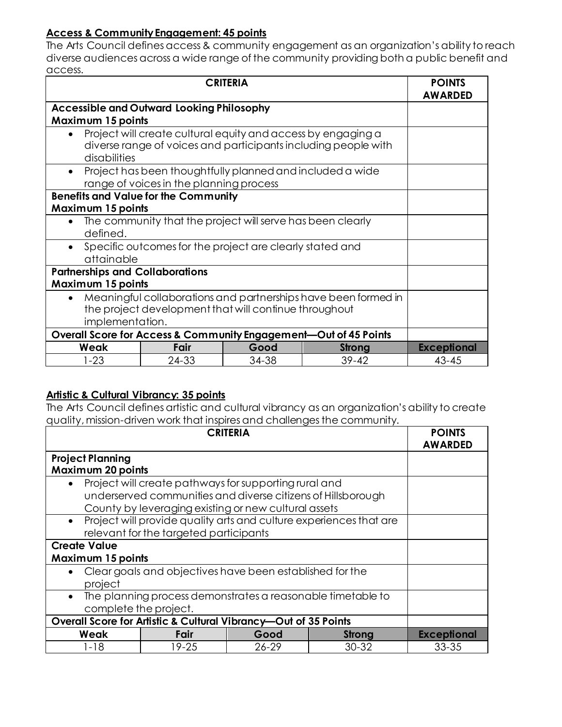## **Access & Community Engagement: 45 points**

The Arts Council defines access & community engagement as an organization's ability to reach diverse audiences across a wide range of the community providing both a public benefit and access.

|                                                                                                                                                             | <b>POINTS</b><br><b>AWARDED</b> |       |               |                    |
|-------------------------------------------------------------------------------------------------------------------------------------------------------------|---------------------------------|-------|---------------|--------------------|
| <b>Accessible and Outward Looking Philosophy</b>                                                                                                            |                                 |       |               |                    |
| <b>Maximum 15 points</b>                                                                                                                                    |                                 |       |               |                    |
| Project will create cultural equity and access by engaging a<br>$\bullet$<br>diverse range of voices and participants including people with<br>disabilities |                                 |       |               |                    |
| Project has been thoughtfully planned and included a wide<br>$\bullet$<br>range of voices in the planning process                                           |                                 |       |               |                    |
| <b>Benefits and Value for the Community</b>                                                                                                                 |                                 |       |               |                    |
| <b>Maximum 15 points</b>                                                                                                                                    |                                 |       |               |                    |
| The community that the project will serve has been clearly<br>$\bullet$<br>defined.                                                                         |                                 |       |               |                    |
| Specific outcomes for the project are clearly stated and<br>$\bullet$<br>attainable                                                                         |                                 |       |               |                    |
| <b>Partnerships and Collaborations</b>                                                                                                                      |                                 |       |               |                    |
| <b>Maximum 15 points</b>                                                                                                                                    |                                 |       |               |                    |
| Meaningful collaborations and partnerships have been formed in<br>$\bullet$<br>the project development that will continue throughout<br>implementation.     |                                 |       |               |                    |
| Overall Score for Access & Community Engagement-Out of 45 Points                                                                                            |                                 |       |               |                    |
| Weak                                                                                                                                                        | Fair                            | Good  | <b>Strong</b> | <b>Exceptional</b> |
| $1 - 23$                                                                                                                                                    | 24-33                           | 34-38 | $39 - 42$     | $43 - 45$          |

## **Artistic & Cultural Vibrancy: 35 points**

The Arts Council defines artistic and cultural vibrancy as an organization's ability to create quality, mission-driven work that inspires and challenges the community.

|                                                                                                                                                                                            | <b>POINTS</b><br><b>AWARDED</b> |           |               |                    |
|--------------------------------------------------------------------------------------------------------------------------------------------------------------------------------------------|---------------------------------|-----------|---------------|--------------------|
| <b>Project Planning</b><br>Maximum 20 points                                                                                                                                               |                                 |           |               |                    |
| Project will create pathways for supporting rural and<br>$\bullet$<br>underserved communities and diverse citizens of Hillsborough<br>County by leveraging existing or new cultural assets |                                 |           |               |                    |
| Project will provide quality arts and culture experiences that are<br>$\bullet$<br>relevant for the targeted participants                                                                  |                                 |           |               |                    |
| <b>Create Value</b><br><b>Maximum 15 points</b>                                                                                                                                            |                                 |           |               |                    |
| Clear goals and objectives have been established for the<br>project                                                                                                                        |                                 |           |               |                    |
| The planning process demonstrates a reasonable timetable to<br>$\bullet$<br>complete the project.                                                                                          |                                 |           |               |                    |
| Overall Score for Artistic & Cultural Vibrancy-Out of 35 Points                                                                                                                            |                                 |           |               |                    |
| Weak                                                                                                                                                                                       | Fair                            | Good      | <b>Strong</b> | <b>Exceptional</b> |
| $1 - 18$                                                                                                                                                                                   | 19-25                           | $26 - 29$ | $30 - 32$     | $33 - 35$          |